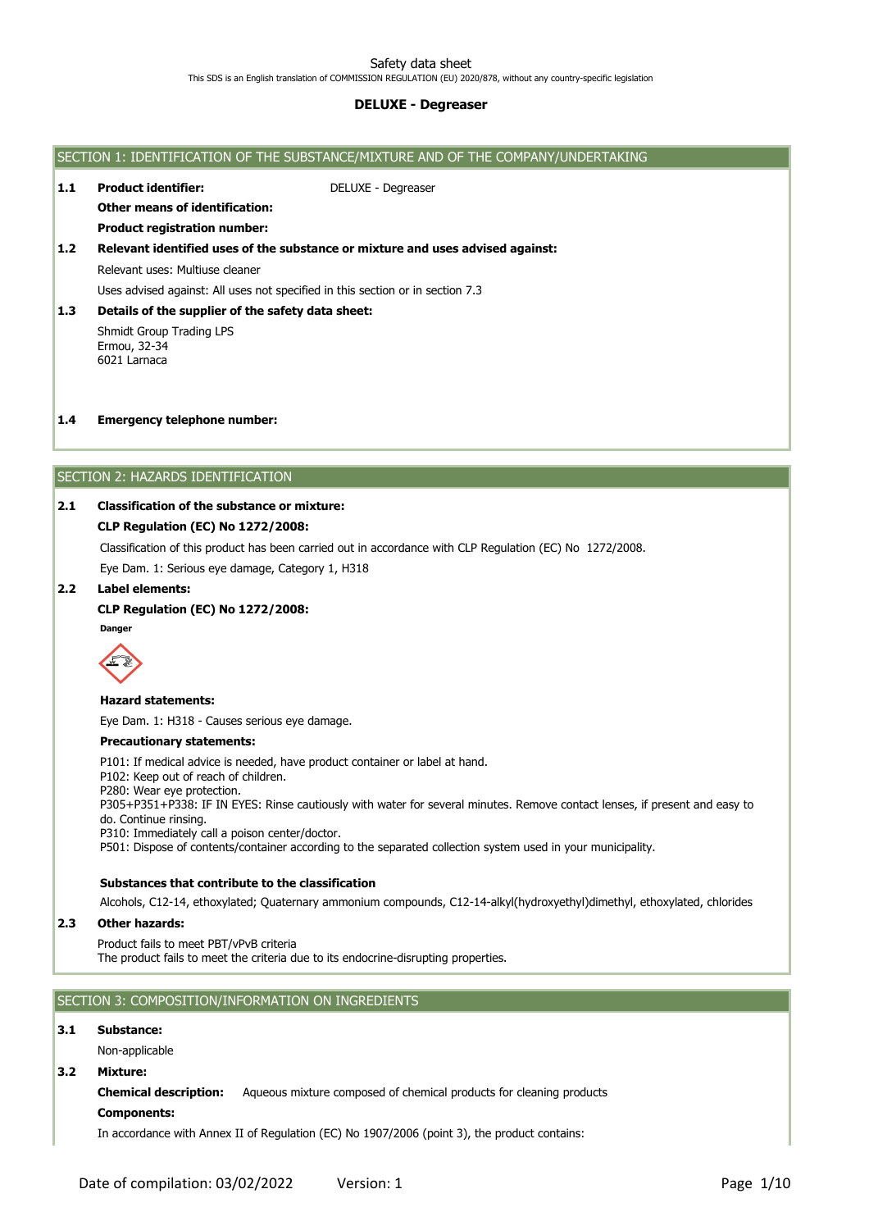# Safety data sheet

This SDS is an English translation of COMMISSION REGULATION (EU) 2020/878, without any country-specific legislation

# **DELUXE - Degreaser**



# **Components:**

In accordance with Annex II of Regulation (EC) No 1907/2006 (point 3), the product contains: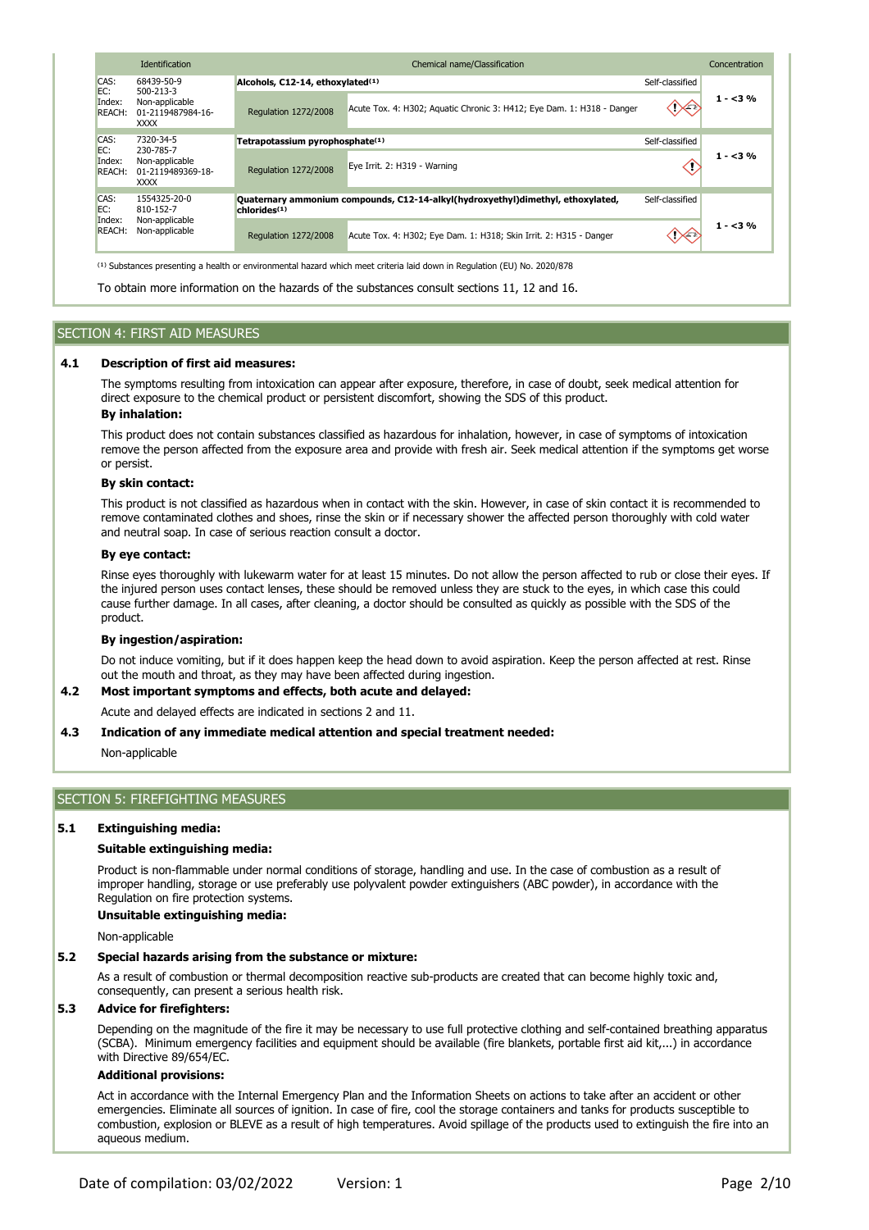|                                                                                                   | <b>Identification</b><br>Chemical name/Classification |                                              |                                                                                                                                     |                    |          |
|---------------------------------------------------------------------------------------------------|-------------------------------------------------------|----------------------------------------------|-------------------------------------------------------------------------------------------------------------------------------------|--------------------|----------|
| CAS:                                                                                              | 68439-50-9                                            | Alcohols, C12-14, ethoxylated <sup>(1)</sup> |                                                                                                                                     | Self-classified    |          |
| EC:<br>500-213-3<br>Index:<br>Non-applicable<br><b>REACH:</b><br>01-2119487984-16-<br><b>XXXX</b> |                                                       | Regulation 1272/2008                         | Acute Tox. 4: H302; Aquatic Chronic 3: H412; Eye Dam. 1: H318 - Danger                                                              | ு                  | $1 - 3%$ |
| CAS:                                                                                              | 7320-34-5                                             | Tetrapotassium pyrophosphate <sup>(1)</sup>  |                                                                                                                                     | Self-classified    |          |
| EC:<br>230-785-7<br>Index:<br>Non-applicable<br><b>REACH:</b><br>01-2119489369-18-<br><b>XXXX</b> | Regulation 1272/2008                                  | Eye Irrit. 2: H319 - Warning                 |                                                                                                                                     | $1 - 3%$           |          |
| CAS:<br>EC:                                                                                       | 1554325-20-0<br>810-152-7                             | chlorides <sup>(1)</sup>                     | Quaternary ammonium compounds, C12-14-alkyl(hydroxyethyl)dimethyl, ethoxylated,                                                     | Self-classified    |          |
| Index:<br><b>REACH:</b>                                                                           | Non-applicable<br>Non-applicable                      | Regulation 1272/2008                         | Acute Tox. 4: H302; Eye Dam. 1: H318; Skin Irrit. 2: H315 - Danger                                                                  | $\curvearrowright$ | $1 - 3%$ |
|                                                                                                   |                                                       |                                              | <sup>(1)</sup> Substances presenting a health or environmental hazard which meet criteria laid down in Regulation (EU) No. 2020/878 |                    |          |

To obtain more information on the hazards of the substances consult sections 11, 12 and 16.

# SECTION 4: FIRST AID MEASURES

#### **4.1 Description of first aid measures:**

The symptoms resulting from intoxication can appear after exposure, therefore, in case of doubt, seek medical attention for direct exposure to the chemical product or persistent discomfort, showing the SDS of this product. **By inhalation:**

This product does not contain substances classified as hazardous for inhalation, however, in case of symptoms of intoxication remove the person affected from the exposure area and provide with fresh air. Seek medical attention if the symptoms get worse or persist.

#### **By skin contact:**

This product is not classified as hazardous when in contact with the skin. However, in case of skin contact it is recommended to remove contaminated clothes and shoes, rinse the skin or if necessary shower the affected person thoroughly with cold water and neutral soap. In case of serious reaction consult a doctor.

## **By eye contact:**

Rinse eyes thoroughly with lukewarm water for at least 15 minutes. Do not allow the person affected to rub or close their eyes. If the injured person uses contact lenses, these should be removed unless they are stuck to the eyes, in which case this could cause further damage. In all cases, after cleaning, a doctor should be consulted as quickly as possible with the SDS of the product.

#### **By ingestion/aspiration:**

Do not induce vomiting, but if it does happen keep the head down to avoid aspiration. Keep the person affected at rest. Rinse out the mouth and throat, as they may have been affected during ingestion.

#### **4.2 Most important symptoms and effects, both acute and delayed:**

Acute and delayed effects are indicated in sections 2 and 11.

#### **4.3 Indication of any immediate medical attention and special treatment needed:**

Non-applicable

# SECTION 5: FIREFIGHTING MEASURES

#### **5.1 Extinguishing media:**

# **Suitable extinguishing media:**

Product is non-flammable under normal conditions of storage, handling and use. In the case of combustion as a result of improper handling, storage or use preferably use polyvalent powder extinguishers (ABC powder), in accordance with the Regulation on fire protection systems.

#### **Unsuitable extinguishing media:**

Non-applicable

#### **5.2 Special hazards arising from the substance or mixture:**

As a result of combustion or thermal decomposition reactive sub-products are created that can become highly toxic and, consequently, can present a serious health risk.

#### **5.3 Advice for firefighters:**

Depending on the magnitude of the fire it may be necessary to use full protective clothing and self-contained breathing apparatus (SCBA). Minimum emergency facilities and equipment should be available (fire blankets, portable first aid kit,...) in accordance with Directive 89/654/EC.

# **Additional provisions:**

Act in accordance with the Internal Emergency Plan and the Information Sheets on actions to take after an accident or other emergencies. Eliminate all sources of ignition. In case of fire, cool the storage containers and tanks for products susceptible to combustion, explosion or BLEVE as a result of high temperatures. Avoid spillage of the products used to extinguish the fire into an aqueous medium.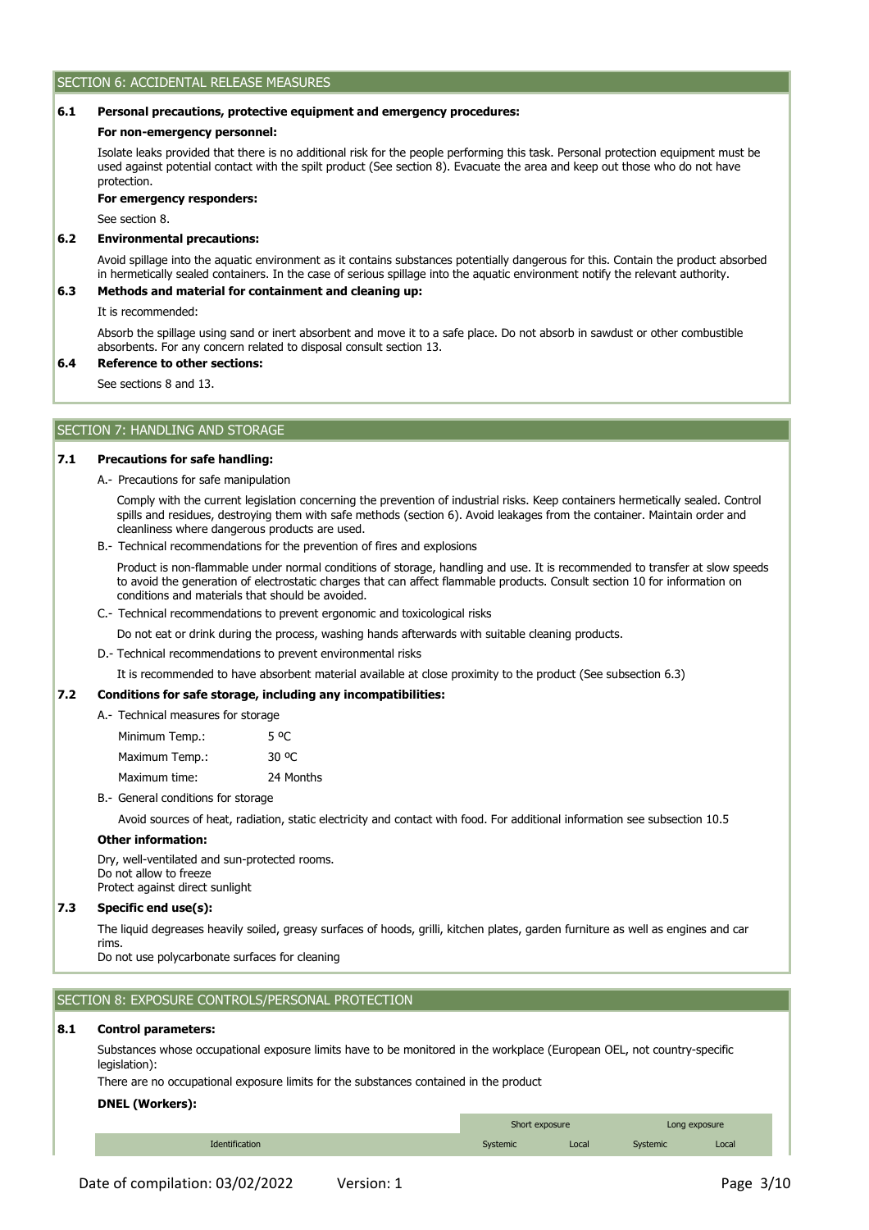# SECTION 6: ACCIDENTAL RELEASE MEASURES

#### **6.1 Personal precautions, protective equipment and emergency procedures:**

#### **For non-emergency personnel:**

Isolate leaks provided that there is no additional risk for the people performing this task. Personal protection equipment must be used against potential contact with the spilt product (See section 8). Evacuate the area and keep out those who do not have protection.

## **For emergency responders:**

See section 8.

#### **6.2 Environmental precautions:**

Avoid spillage into the aquatic environment as it contains substances potentially dangerous for this. Contain the product absorbed in hermetically sealed containers. In the case of serious spillage into the aquatic environment notify the relevant authority.

#### **6.3 Methods and material for containment and cleaning up:**

It is recommended:

Absorb the spillage using sand or inert absorbent and move it to a safe place. Do not absorb in sawdust or other combustible absorbents. For any concern related to disposal consult section 13.

#### **6.4 Reference to other sections:**

See sections 8 and 13.

# SECTION 7: HANDLING AND STORAGE

#### **7.1 Precautions for safe handling:**

A.- Precautions for safe manipulation

Comply with the current legislation concerning the prevention of industrial risks. Keep containers hermetically sealed. Control spills and residues, destroying them with safe methods (section 6). Avoid leakages from the container. Maintain order and cleanliness where dangerous products are used.

B.- Technical recommendations for the prevention of fires and explosions

Product is non-flammable under normal conditions of storage, handling and use. It is recommended to transfer at slow speeds to avoid the generation of electrostatic charges that can affect flammable products. Consult section 10 for information on conditions and materials that should be avoided.

- C.- Technical recommendations to prevent ergonomic and toxicological risks
	- Do not eat or drink during the process, washing hands afterwards with suitable cleaning products.
- D.- Technical recommendations to prevent environmental risks

It is recommended to have absorbent material available at close proximity to the product (See subsection 6.3)

#### **7.2 Conditions for safe storage, including any incompatibilities:**

A.- Technical measures for storage

| Minimum Temp.: | 5 °C      |
|----------------|-----------|
| Maximum Temp.: | 30 °C     |
| Maximum time:  | 24 Months |

B.- General conditions for storage

Avoid sources of heat, radiation, static electricity and contact with food. For additional information see subsection 10.5

#### **Other information:**

Dry, well-ventilated and sun-protected rooms. Do not allow to freeze Protect against direct sunlight

#### **7.3 Specific end use(s):**

The liquid degreases heavily soiled, greasy surfaces of hoods, grilli, kitchen plates, garden furniture as well as engines and car rims.

Do not use polycarbonate surfaces for cleaning

SECTION 8: EXPOSURE CONTROLS/PERSONAL PROTECTION

#### **8.1 Control parameters:**

Substances whose occupational exposure limits have to be monitored in the workplace (European OEL, not country-specific legislation):

There are no occupational exposure limits for the substances contained in the product

# **DNEL (Workers):**

|                | Short exposure  |       | Long exposure |       |
|----------------|-----------------|-------|---------------|-------|
| Identification | <b>Systemic</b> | Local | Systemic      | Local |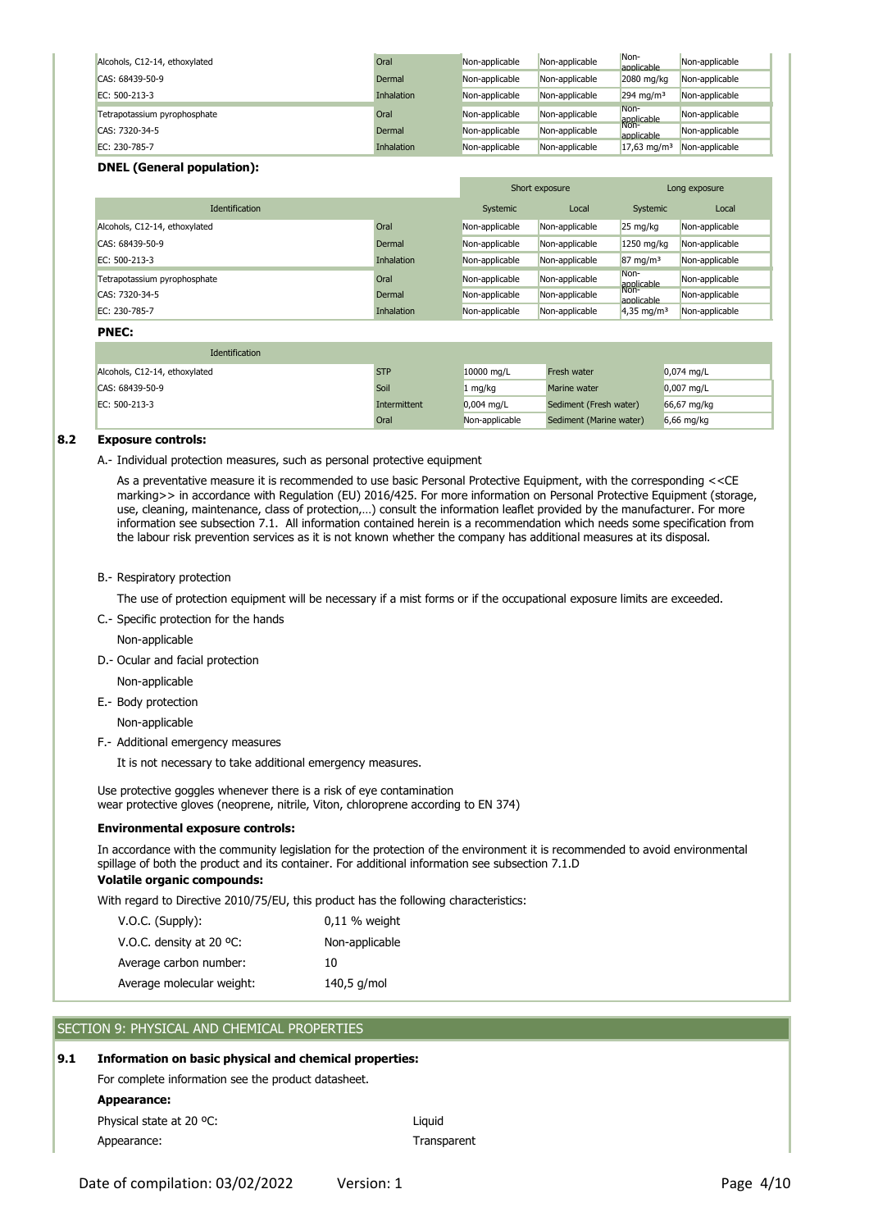| Alcohols, C12-14, ethoxylated | Oral       | Non-applicable | Non-applicable | Non-<br>applicable        | Non-applicable |
|-------------------------------|------------|----------------|----------------|---------------------------|----------------|
| CAS: 68439-50-9               | Dermal     | Non-applicable | Non-applicable | 2080 mg/kg                | Non-applicable |
| EC: 500-213-3                 | Inhalation | Non-applicable | Non-applicable | $294$ ma/m <sup>3</sup>   | Non-applicable |
| Tetrapotassium pyrophosphate  | Oral       | Non-applicable | Non-applicable | Non-<br>applicable        | Non-applicable |
| CAS: 7320-34-5                | Dermal     | Non-applicable | Non-applicable | Non-<br>applicable        | Non-applicable |
| EC: 230-785-7                 | Inhalation | Non-applicable | Non-applicable | $17,63$ mg/m <sup>3</sup> | Non-applicable |

# **DNEL (General population):**

|                               |            | Short exposure |                | Long exposure         |                |
|-------------------------------|------------|----------------|----------------|-----------------------|----------------|
| <b>Identification</b>         |            | Systemic       | Local          | Systemic              | Local          |
| Alcohols, C12-14, ethoxylated | Oral       | Non-applicable | Non-applicable | 25 mg/kg              | Non-applicable |
| CAS: 68439-50-9               | Dermal     | Non-applicable | Non-applicable | 1250 mg/kg            | Non-applicable |
| EC: 500-213-3                 | Inhalation | Non-applicable | Non-applicable | $87 \text{ mg/m}^3$   | Non-applicable |
| Tetrapotassium pyrophosphate  | Oral       | Non-applicable | Non-applicable | Non-<br>applicable    | Non-applicable |
| CAS: 7320-34-5                | Dermal     | Non-applicable | Non-applicable | Non-<br>applicable    | Non-applicable |
| EC: 230-785-7                 | Inhalation | Non-applicable | Non-applicable | $4,35 \text{ mg/m}^3$ | Non-applicable |

# **PNEC:**

| Identification                |              |                |                         |              |
|-------------------------------|--------------|----------------|-------------------------|--------------|
| Alcohols, C12-14, ethoxylated | <b>STP</b>   | 10000 mg/L     | Fresh water             | $0.074$ mg/L |
| CAS: 68439-50-9               | Soil         | 1 mg/kg        | Marine water            | $0,007$ mg/L |
| EC: 500-213-3                 | Intermittent | $0,004$ mg/L   | Sediment (Fresh water)  | 66,67 mg/kg  |
|                               | Oral         | Non-applicable | Sediment (Marine water) | $6,66$ mg/kg |

#### **8.2 Exposure controls:**

A.- Individual protection measures, such as personal protective equipment

As a preventative measure it is recommended to use basic Personal Protective Equipment, with the corresponding <<CE marking>> in accordance with Regulation (EU) 2016/425. For more information on Personal Protective Equipment (storage, use, cleaning, maintenance, class of protection,…) consult the information leaflet provided by the manufacturer. For more information see subsection 7.1. All information contained herein is a recommendation which needs some specification from the labour risk prevention services as it is not known whether the company has additional measures at its disposal.

## B.- Respiratory protection

The use of protection equipment will be necessary if a mist forms or if the occupational exposure limits are exceeded.

C.- Specific protection for the hands

Non-applicable

D.- Ocular and facial protection

Non-applicable

E.- Body protection

Non-applicable

F.- Additional emergency measures

It is not necessary to take additional emergency measures.

Use protective goggles whenever there is a risk of eye contamination wear protective gloves (neoprene, nitrile, Viton, chloroprene according to EN 374)

# **Environmental exposure controls:**

In accordance with the community legislation for the protection of the environment it is recommended to avoid environmental spillage of both the product and its container. For additional information see subsection 7.1.D

**Transparent** 

# **Volatile organic compounds:**

With regard to Directive 2010/75/EU, this product has the following characteristics:

| $V.O.C.$ (Supply):                 | $0,11$ % weight |
|------------------------------------|-----------------|
| V.O.C. density at 20 $^{\circ}$ C: | Non-applicable  |
| Average carbon number:             | 10              |
| Average molecular weight:          | 140,5 g/mol     |

# SECTION 9: PHYSICAL AND CHEMICAL PROPERTIES

#### **9.1 Information on basic physical and chemical properties:**

For complete information see the product datasheet.

**Appearance:**

| Physical state at 20 °C: | Liauid |
|--------------------------|--------|
| Appearance:              | Trans  |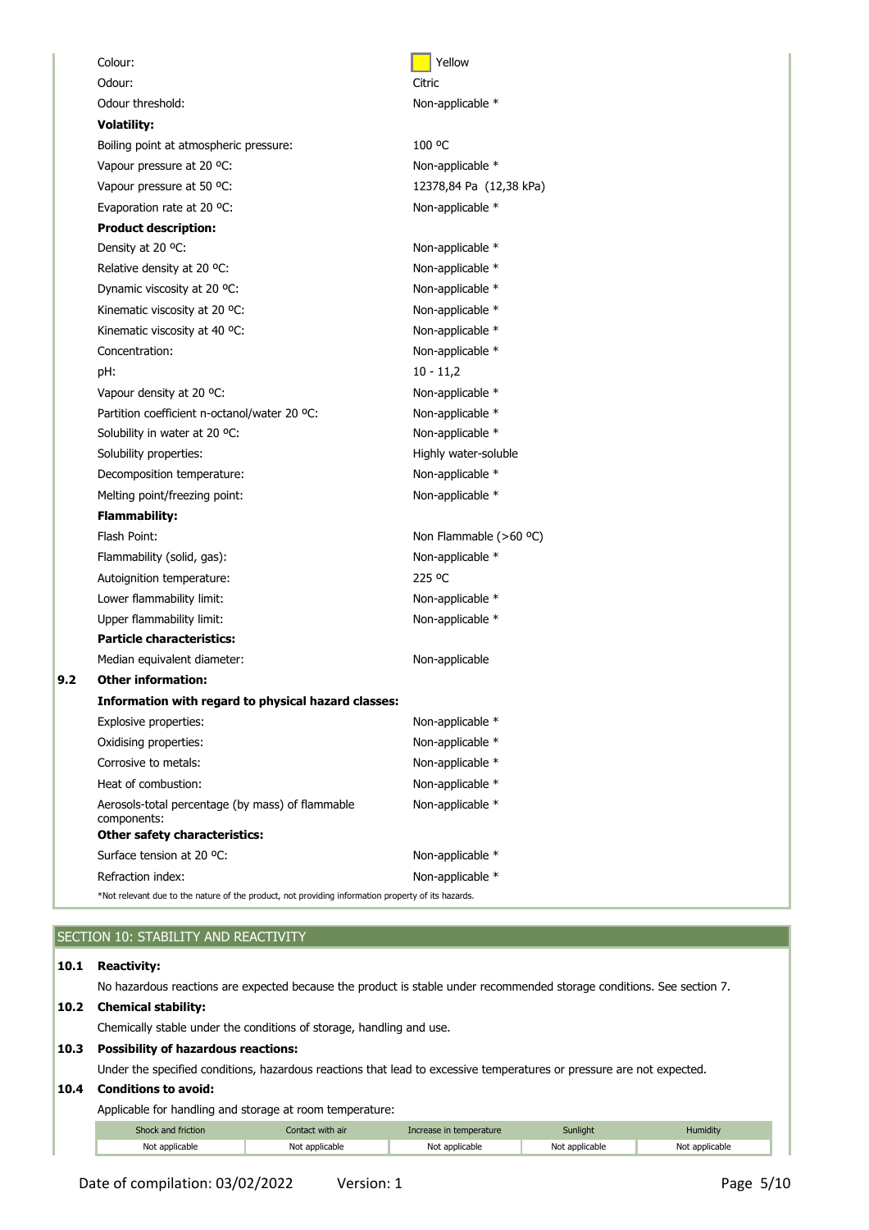|     | Colour:                                                                                                 | Yellow                  |
|-----|---------------------------------------------------------------------------------------------------------|-------------------------|
|     | Odour:                                                                                                  | Citric                  |
|     | Odour threshold:                                                                                        | Non-applicable *        |
|     | <b>Volatility:</b>                                                                                      |                         |
|     | Boiling point at atmospheric pressure:                                                                  | 100 °C                  |
|     | Vapour pressure at 20 °C:                                                                               | Non-applicable *        |
|     | Vapour pressure at 50 °C:                                                                               | 12378,84 Pa (12,38 kPa) |
|     | Evaporation rate at 20 °C:                                                                              | Non-applicable *        |
|     | <b>Product description:</b>                                                                             |                         |
|     | Density at 20 °C:                                                                                       | Non-applicable *        |
|     | Relative density at 20 °C:                                                                              | Non-applicable *        |
|     | Dynamic viscosity at 20 °C:                                                                             | Non-applicable *        |
|     | Kinematic viscosity at 20 °C:                                                                           | Non-applicable *        |
|     | Kinematic viscosity at 40 °C:                                                                           | Non-applicable *        |
|     | Concentration:                                                                                          | Non-applicable *        |
|     | pH:                                                                                                     | $10 - 11,2$             |
|     | Vapour density at 20 °C:                                                                                | Non-applicable *        |
|     | Partition coefficient n-octanol/water 20 °C:                                                            | Non-applicable *        |
|     | Solubility in water at 20 °C:                                                                           | Non-applicable *        |
|     | Solubility properties:                                                                                  | Highly water-soluble    |
|     | Decomposition temperature:                                                                              | Non-applicable *        |
|     | Melting point/freezing point:                                                                           | Non-applicable *        |
|     | <b>Flammability:</b>                                                                                    |                         |
|     | Flash Point:                                                                                            | Non Flammable (>60 °C)  |
|     | Flammability (solid, gas):                                                                              | Non-applicable *        |
|     | Autoignition temperature:                                                                               | 225 °C                  |
|     | Lower flammability limit:                                                                               | Non-applicable *        |
|     | Upper flammability limit:                                                                               | Non-applicable *        |
|     | <b>Particle characteristics:</b>                                                                        |                         |
|     | Median equivalent diameter:                                                                             | Non-applicable          |
| 9.2 | <b>Other information:</b>                                                                               |                         |
|     | Information with regard to physical hazard classes:                                                     |                         |
|     | Explosive properties:                                                                                   | Non-applicable *        |
|     | Oxidising properties:                                                                                   | Non-applicable *        |
|     | Corrosive to metals:                                                                                    | Non-applicable *        |
|     | Heat of combustion:                                                                                     | Non-applicable *        |
|     | Aerosols-total percentage (by mass) of flammable<br>components:<br><b>Other safety characteristics:</b> | Non-applicable *        |
|     | Surface tension at 20 °C:                                                                               | Non-applicable *        |
|     | Refraction index:                                                                                       | Non-applicable *        |
|     | *Not relevant due to the nature of the product, not providing information property of its hazards.      |                         |
|     |                                                                                                         |                         |

# SECTION 10: STABILITY AND REACTIVITY

## **10.1 Reactivity:**

No hazardous reactions are expected because the product is stable under recommended storage conditions. See section 7.

## **10.2 Chemical stability:**

Chemically stable under the conditions of storage, handling and use.

## **10.3 Possibility of hazardous reactions:**

Under the specified conditions, hazardous reactions that lead to excessive temperatures or pressure are not expected.

#### **10.4 Conditions to avoid:**

Applicable for handling and storage at room temperature:

| Shock and friction | Contact with air | Increase in temperature | <b>Sunlight</b> | <b>Humidity</b> |
|--------------------|------------------|-------------------------|-----------------|-----------------|
| Not applicable     | Not applicable   | Not applicable          | Not applicable  | Not applicable  |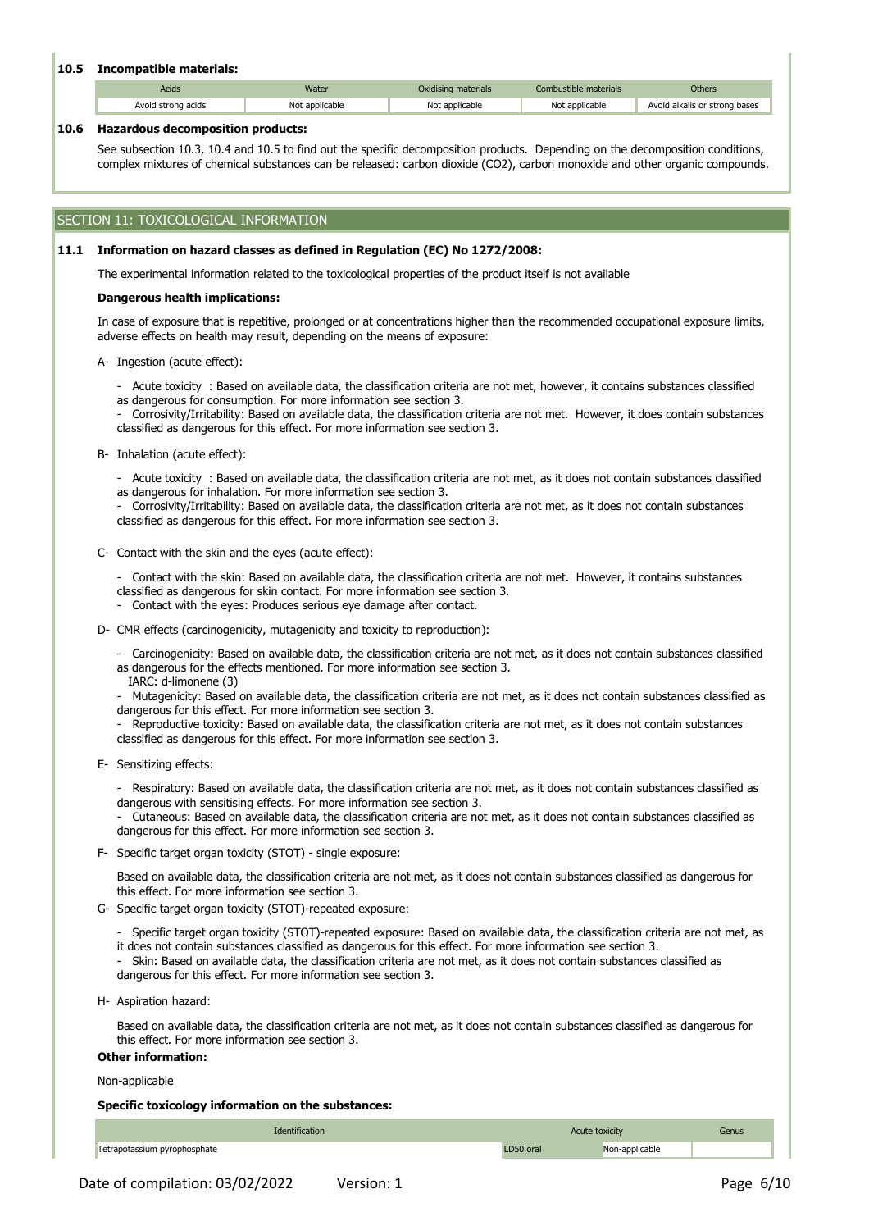# **10.5 Incompatible materials:**

| Acids              | Water          | Oxidising materials | Combustible materials | <b>Others</b>                 |
|--------------------|----------------|---------------------|-----------------------|-------------------------------|
| Avoid strong acids | Not applicable | Not applicable      | Not applicable        | Avoid alkalis or strong bases |

### **10.6 Hazardous decomposition products:**

See subsection 10.3, 10.4 and 10.5 to find out the specific decomposition products. Depending on the decomposition conditions, complex mixtures of chemical substances can be released: carbon dioxide (CO2), carbon monoxide and other organic compounds.

# SECTION 11: TOXICOLOGICAL INFORMATION

### **11.1 Information on hazard classes as defined in Regulation (EC) No 1272/2008:**

The experimental information related to the toxicological properties of the product itself is not available

#### **Dangerous health implications:**

In case of exposure that is repetitive, prolonged or at concentrations higher than the recommended occupational exposure limits, adverse effects on health may result, depending on the means of exposure:

- A-Ingestion (acute effect):
	- Acute toxicity : Based on available data, the classification criteria are not met, however, it contains substances classified as dangerous for consumption. For more information see section 3.
	- Corrosivity/Irritability: Based on available data, the classification criteria are not met. However, it does contain substances classified as dangerous for this effect. For more information see section 3.
- B-Inhalation (acute effect):
	- Acute toxicity : Based on available data, the classification criteria are not met, as it does not contain substances classified as dangerous for inhalation. For more information see section 3.
	- Corrosivity/Irritability: Based on available data, the classification criteria are not met, as it does not contain substances classified as dangerous for this effect. For more information see section 3.
- C-Contact with the skin and the eyes (acute effect):
	- Contact with the skin: Based on available data, the classification criteria are not met. However, it contains substances classified as dangerous for skin contact. For more information see section 3.
	- Contact with the eyes: Produces serious eye damage after contact.
- D-CMR effects (carcinogenicity, mutagenicity and toxicity to reproduction):
	- Carcinogenicity: Based on available data, the classification criteria are not met, as it does not contain substances classified as dangerous for the effects mentioned. For more information see section 3.
	- IARC: d-limonene (3)
	- Mutagenicity: Based on available data, the classification criteria are not met, as it does not contain substances classified as dangerous for this effect. For more information see section 3.
	- Reproductive toxicity: Based on available data, the classification criteria are not met, as it does not contain substances classified as dangerous for this effect. For more information see section 3.
- E-Sensitizing effects:
	- Respiratory: Based on available data, the classification criteria are not met, as it does not contain substances classified as dangerous with sensitising effects. For more information see section 3.
	- Cutaneous: Based on available data, the classification criteria are not met, as it does not contain substances classified as dangerous for this effect. For more information see section 3.
- F-Specific target organ toxicity (STOT) single exposure:

Based on available data, the classification criteria are not met, as it does not contain substances classified as dangerous for this effect. For more information see section 3.

- G-Specific target organ toxicity (STOT)-repeated exposure:
	- Specific target organ toxicity (STOT)-repeated exposure: Based on available data, the classification criteria are not met, as
	- it does not contain substances classified as dangerous for this effect. For more information see section 3. - Skin: Based on available data, the classification criteria are not met, as it does not contain substances classified as
	- dangerous for this effect. For more information see section 3.
- H-Aspiration hazard:

Based on available data, the classification criteria are not met, as it does not contain substances classified as dangerous for this effect. For more information see section 3.

# **Other information:**

Non-applicable

## **Specific toxicology information on the substances:**

| Identification               | Acute toxicity |                | Genus |
|------------------------------|----------------|----------------|-------|
| Tetrapotassium pyrophosphate | D50 oral       | Non-applicable |       |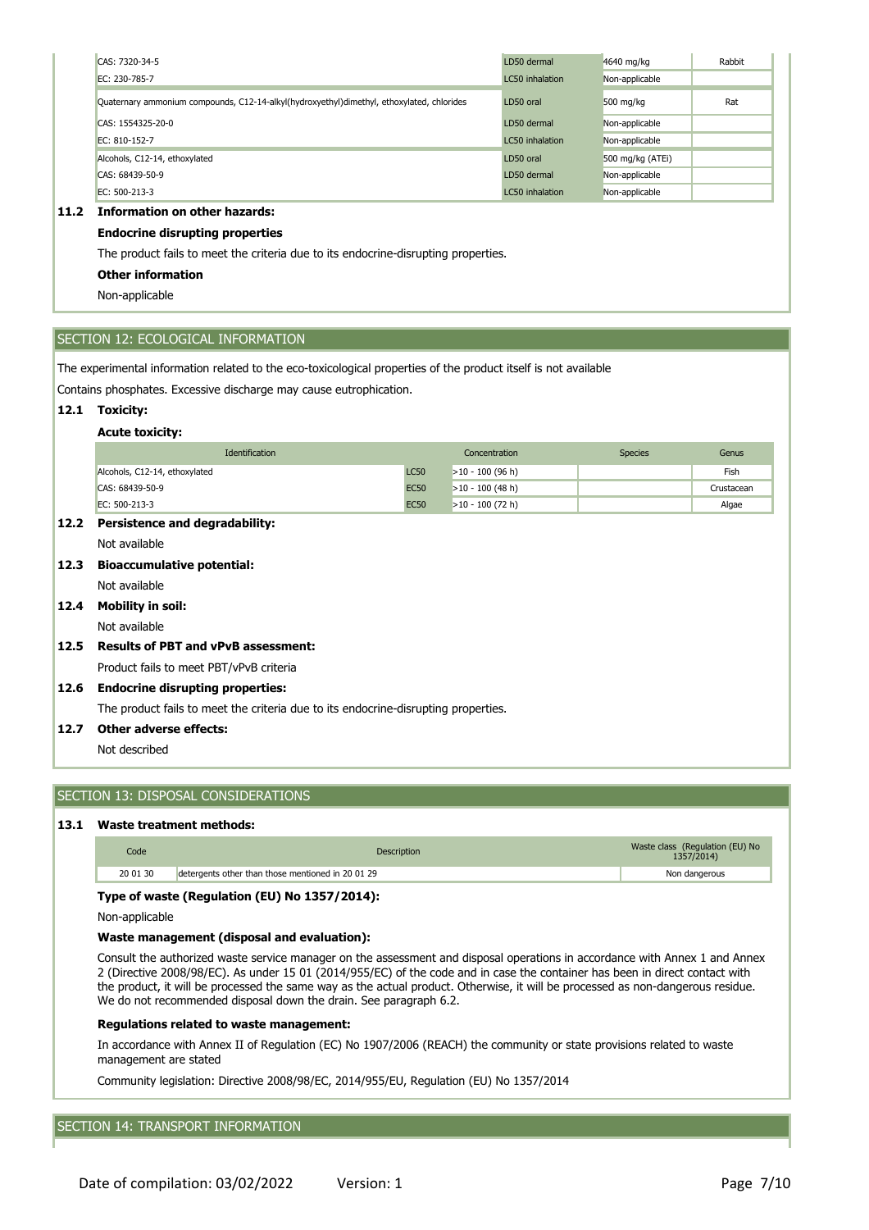| CAS: 7320-34-5                                                                            | LD50 dermal     | 4640 mg/kg       | Rabbit |
|-------------------------------------------------------------------------------------------|-----------------|------------------|--------|
| EC: 230-785-7                                                                             | LC50 inhalation | Non-applicable   |        |
| Quaternary ammonium compounds, C12-14-alkyl(hydroxyethyl)dimethyl, ethoxylated, chlorides | LD50 oral       | 500 mg/kg        | Rat    |
| CAS: 1554325-20-0                                                                         | LD50 dermal     | Non-applicable   |        |
| EC: 810-152-7                                                                             | LC50 inhalation | Non-applicable   |        |
| Alcohols, C12-14, ethoxylated                                                             | LD50 oral       | 500 mg/kg (ATEi) |        |
| CAS: 68439-50-9                                                                           | LD50 dermal     | Non-applicable   |        |
| EC: 500-213-3                                                                             | LC50 inhalation | Non-applicable   |        |

# **11.2 Information on other hazards:**

# **Endocrine disrupting properties**

The product fails to meet the criteria due to its endocrine-disrupting properties.

# **Other information**

Non-applicable

# SECTION 12: ECOLOGICAL INFORMATION

The experimental information related to the eco-toxicological properties of the product itself is not available

Contains phosphates. Excessive discharge may cause eutrophication.

# **12.1 Toxicity:**

#### **Acute toxicity:**

| <b>Identification</b>         |             | Concentration      | <b>Species</b> | Genus      |
|-------------------------------|-------------|--------------------|----------------|------------|
| Alcohols, C12-14, ethoxylated | <b>LC50</b> | $>10 - 100$ (96 h) |                | Fish       |
| CAS: 68439-50-9               | <b>EC50</b> | $>10 - 100$ (48 h) |                | Crustacean |
| EC: 500-213-3                 | <b>EC50</b> | $>10 - 100$ (72 h) |                | Algae      |

# **12.2 Persistence and degradability:**

Not available

# **12.3 Bioaccumulative potential:**

Not available

#### **12.4 Mobility in soil:**

Not available

# **12.5 Results of PBT and vPvB assessment:**

Product fails to meet PBT/vPvB criteria

## **12.6 Endocrine disrupting properties:**

The product fails to meet the criteria due to its endocrine-disrupting properties.

# **12.7 Other adverse effects:**

Not described

# SECTION 13: DISPOSAL CONSIDERATIONS

# **13.1 Waste treatment methods:**

| Code     | Description                                       | Waste class (Regulation (EU) No<br>1357/2014) |
|----------|---------------------------------------------------|-----------------------------------------------|
| 20 01 30 | detergents other than those mentioned in 20 01 29 | Non dangerous                                 |

## **Type of waste (Regulation (EU) No 1357/2014):**

Non-applicable

## **Waste management (disposal and evaluation):**

Consult the authorized waste service manager on the assessment and disposal operations in accordance with Annex 1 and Annex 2 (Directive 2008/98/EC). As under 15 01 (2014/955/EC) of the code and in case the container has been in direct contact with the product, it will be processed the same way as the actual product. Otherwise, it will be processed as non-dangerous residue. We do not recommended disposal down the drain. See paragraph 6.2.

# **Regulations related to waste management:**

In accordance with Annex II of Regulation (EC) No 1907/2006 (REACH) the community or state provisions related to waste management are stated

Community legislation: Directive 2008/98/EC, 2014/955/EU, Regulation (EU) No 1357/2014

# SECTION 14: TRANSPORT INFORMATION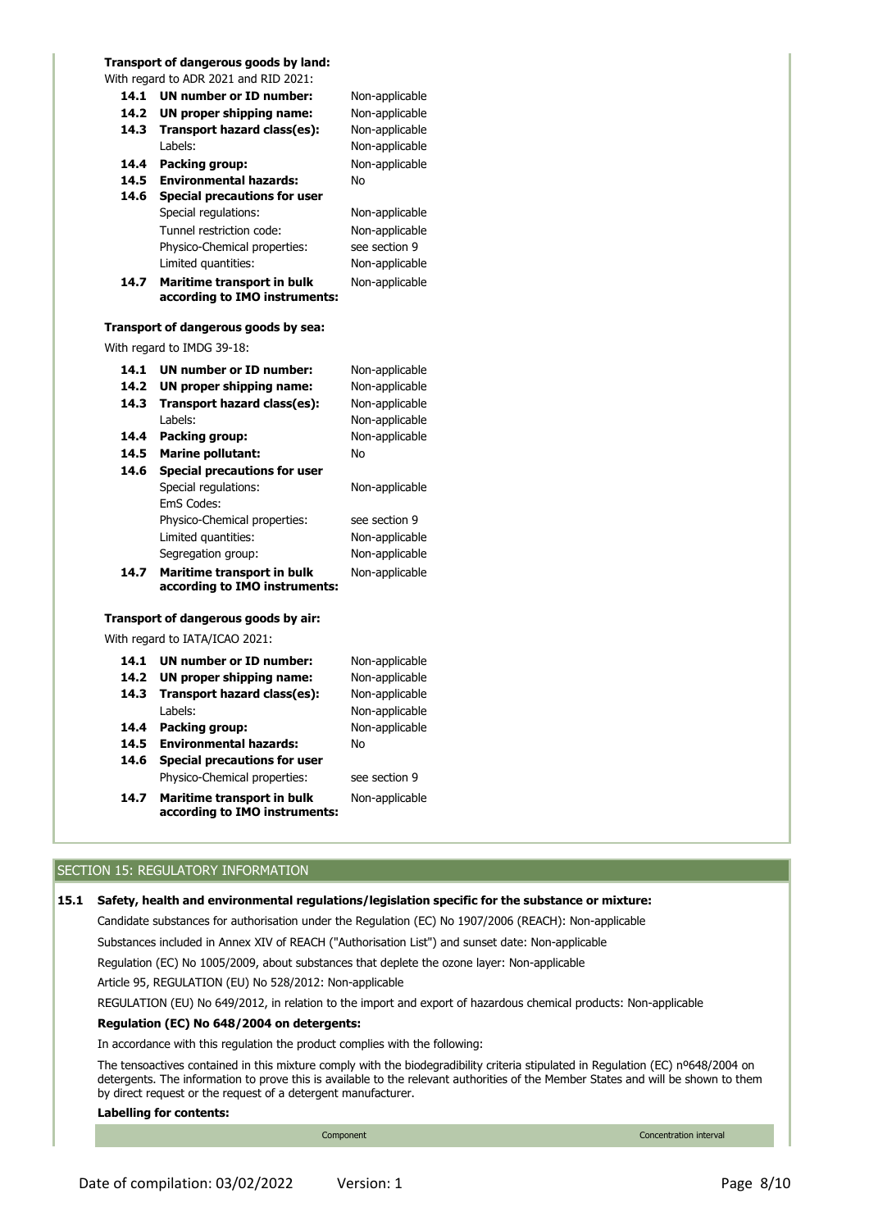# **Transport of dangerous goods by land:**

|      | With regard to ADR 2021 and RID 2021:                       |                |
|------|-------------------------------------------------------------|----------------|
| 14.1 | UN number or ID number:                                     | Non-applicable |
| 14.2 | UN proper shipping name:                                    | Non-applicable |
| 14.3 | Transport hazard class(es):                                 | Non-applicable |
|      | Labels:                                                     | Non-applicable |
| 14.4 | Packing group:                                              | Non-applicable |
| 14.5 | <b>Environmental hazards:</b>                               | No             |
| 14.6 | <b>Special precautions for user</b>                         |                |
|      | Special regulations:                                        | Non-applicable |
|      | Tunnel restriction code:                                    | Non-applicable |
|      | Physico-Chemical properties:                                | see section 9  |
|      | Limited quantities:                                         | Non-applicable |
| 14.7 | Maritime transport in bulk<br>according to IMO instruments: | Non-applicable |
|      | Transport of dangerous goods by sea:                        |                |
|      | With regard to IMDG 39-18:                                  |                |
| 14.1 | UN number or ID number:                                     | Non-applicable |
| 14.2 | UN proper shipping name:                                    | Non-applicable |
| 14.3 | Transport hazard class(es):                                 | Non-applicable |
|      | Labels:                                                     | Non-applicable |
| 14.4 | Packing group:                                              | Non-applicable |
| 14.5 | <b>Marine pollutant:</b>                                    | No             |
| 14.6 | <b>Special precautions for user</b>                         |                |
|      | Special regulations:<br>EmS Codes:                          | Non-applicable |
|      | Physico-Chemical properties:                                | see section 9  |
|      | Limited quantities:                                         | Non-applicable |
|      | Segregation group:                                          | Non-applicable |
| 14.7 | Maritime transport in bulk<br>according to IMO instruments: | Non-applicable |
|      | Transport of dangerous goods by air:                        |                |
|      | With regard to IATA/ICAO 2021:                              |                |
| 14.1 | UN number or ID number:                                     | Non-applicable |
| 14.2 | UN proper shipping name:                                    | Non-applicable |
| 14.3 | Transport hazard class(es):                                 | Non-applicable |
|      | Labels:                                                     | Non-applicable |
| 14.4 | Packing group:                                              | Non-applicable |
| 14.5 | <b>Environmental hazards:</b>                               | No             |
| 14.6 | <b>Special precautions for user</b>                         |                |
|      | Physico-Chemical properties:                                | see section 9  |
| 14.7 | Maritime transport in bulk<br>according to IMO instruments: | Non-applicable |

# SECTION 15: REGULATORY INFORMATION

# **15.1 Safety, health and environmental regulations/legislation specific for the substance or mixture:**

Candidate substances for authorisation under the Regulation (EC) No 1907/2006 (REACH): Non-applicable

Substances included in Annex XIV of REACH ("Authorisation List") and sunset date: Non-applicable

Regulation (EC) No 1005/2009, about substances that deplete the ozone layer: Non-applicable

Article 95, REGULATION (EU) No 528/2012: Non-applicable

REGULATION (EU) No 649/2012, in relation to the import and export of hazardous chemical products: Non-applicable

# **Regulation (EC) No 648/2004 on detergents:**

In accordance with this regulation the product complies with the following:

The tensoactives contained in this mixture comply with the biodegradibility criteria stipulated in Regulation (EC) nº648/2004 on detergents. The information to prove this is available to the relevant authorities of the Member States and will be shown to them by direct request or the request of a detergent manufacturer.

# **Labelling for contents:**

Component Concentration interval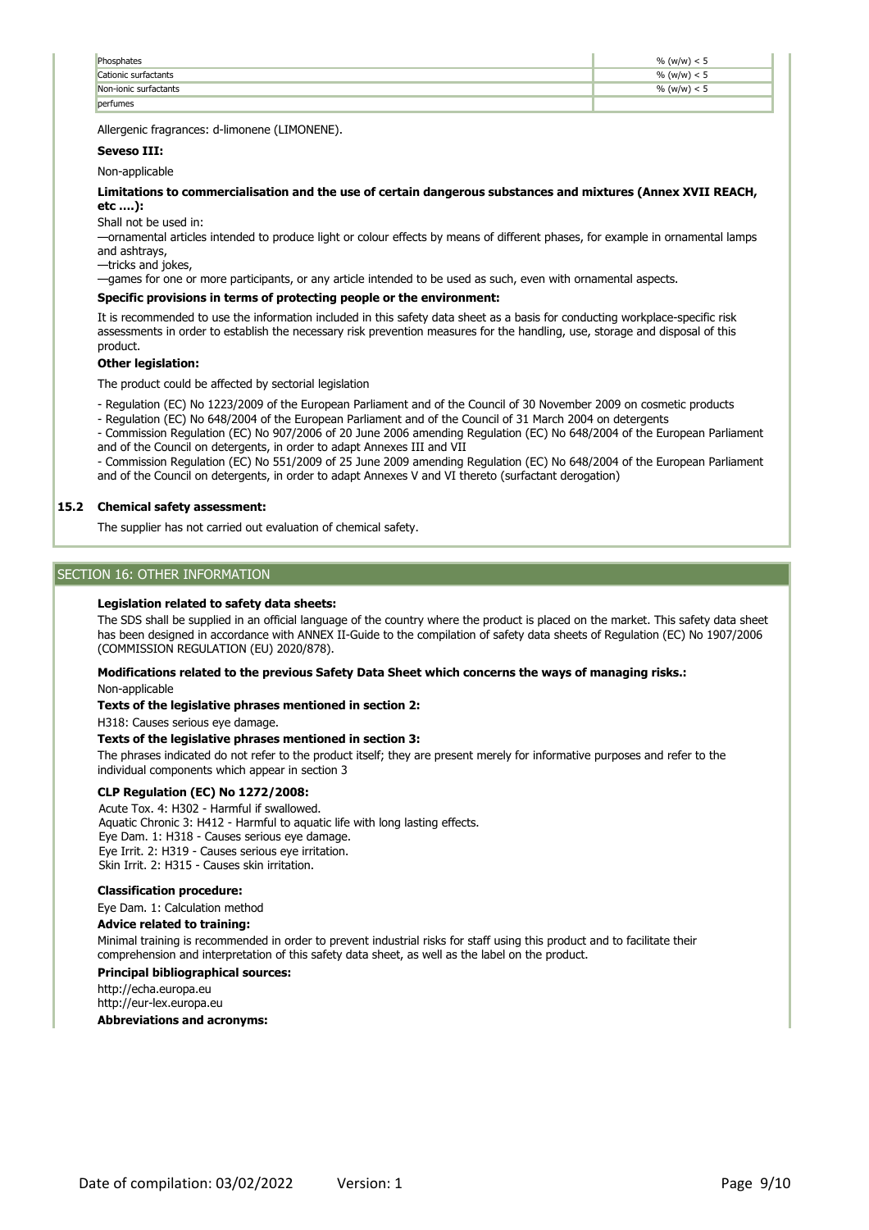| Phosphates            | % (w/w) $< 5$  |
|-----------------------|----------------|
| Cationic surfactants  | % (w/w) < 5    |
| Non-ionic surfactants | $\%$ (w/w) < 5 |
| perfumes              |                |

Allergenic fragrances: d-limonene (LIMONENE).

# **Seveso III:**

Non-applicable

**Limitations to commercialisation and the use of certain dangerous substances and mixtures (Annex XVII REACH, etc ….):**

Shall not be used in:

—ornamental articles intended to produce light or colour effects by means of different phases, for example in ornamental lamps and ashtrays,

—tricks and jokes,

—games for one or more participants, or any article intended to be used as such, even with ornamental aspects.

# **Specific provisions in terms of protecting people or the environment:**

It is recommended to use the information included in this safety data sheet as a basis for conducting workplace-specific risk assessments in order to establish the necessary risk prevention measures for the handling, use, storage and disposal of this product.

## **Other legislation:**

The product could be affected by sectorial legislation

- Regulation (EC) No 1223/2009 of the European Parliament and of the Council of 30 November 2009 on cosmetic products

- Regulation (EC) No 648/2004 of the European Parliament and of the Council of 31 March 2004 on detergents

- Commission Regulation (EC) No 907/2006 of 20 June 2006 amending Regulation (EC) No 648/2004 of the European Parliament and of the Council on detergents, in order to adapt Annexes III and VII

- Commission Regulation (EC) No 551/2009 of 25 June 2009 amending Regulation (EC) No 648/2004 of the European Parliament and of the Council on detergents, in order to adapt Annexes V and VI thereto (surfactant derogation)

# **15.2 Chemical safety assessment:**

The supplier has not carried out evaluation of chemical safety.

# SECTION 16: OTHER INFORMATION

## **Legislation related to safety data sheets:**

The SDS shall be supplied in an official language of the country where the product is placed on the market. This safety data sheet has been designed in accordance with ANNEX II-Guide to the compilation of safety data sheets of Regulation (EC) No 1907/2006 (COMMISSION REGULATION (EU) 2020/878).

## **Modifications related to the previous Safety Data Sheet which concerns the ways of managing risks.:**

Non-applicable

# **Texts of the legislative phrases mentioned in section 2:**

H318: Causes serious eye damage.

# **Texts of the legislative phrases mentioned in section 3:**

The phrases indicated do not refer to the product itself; they are present merely for informative purposes and refer to the individual components which appear in section 3

# **CLP Regulation (EC) No 1272/2008:**

Acute Tox. 4: H302 - Harmful if swallowed. Aquatic Chronic 3: H412 - Harmful to aquatic life with long lasting effects. Eye Dam. 1: H318 - Causes serious eye damage. Eye Irrit. 2: H319 - Causes serious eye irritation. Skin Irrit. 2: H315 - Causes skin irritation.

# **Classification procedure:**

Eye Dam. 1: Calculation method

## **Advice related to training:**

Minimal training is recommended in order to prevent industrial risks for staff using this product and to facilitate their comprehension and interpretation of this safety data sheet, as well as the label on the product.

# **Principal bibliographical sources:**

http://echa.europa.eu http://eur-lex.europa.eu

## **Abbreviations and acronyms:**